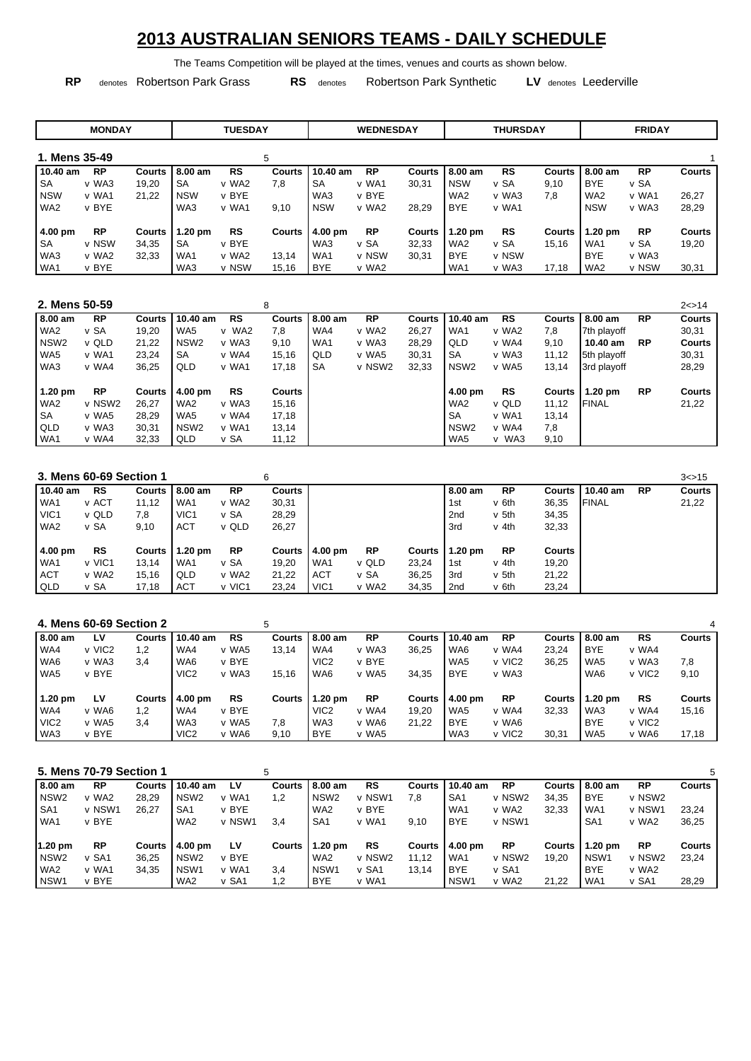## **2013 AUSTRALIAN SENIORS TEAMS - DAILY SCHEDULE**

The Teams Competition will be played at the times, venues and courts as shown below.

**RP** denotes Robertson Park Grass **RS** denotes Robertson Park Synthetic **LV** denotes Leederville

|                 |       | <b>MONDAY</b> |               |            | <b>TUESDAY</b> |        |                 | <b>WEDNESDAY</b> |               |                   | <b>THURSDAY</b> |               |                 | <b>FRIDAY</b> |               |
|-----------------|-------|---------------|---------------|------------|----------------|--------|-----------------|------------------|---------------|-------------------|-----------------|---------------|-----------------|---------------|---------------|
| 1. Mens 35-49   |       |               |               |            |                | 5      |                 |                  |               |                   |                 |               |                 |               |               |
| 10.40 am        |       | <b>RP</b>     | <b>Courts</b> | 8.00 am    | <b>RS</b>      | Courts | 10.40 am        | <b>RP</b>        | <b>Courts</b> | 8.00 am           | <b>RS</b>       | <b>Courts</b> | 8.00 am         | <b>RP</b>     | <b>Courts</b> |
| <b>SA</b>       |       | v WA3         | 19,20         | <b>SA</b>  | v WA2          | 7,8    | <b>SA</b>       | v WA1            | 30,31         | <b>NSW</b>        | v SA            | 9,10          | <b>BYE</b>      | v SA          |               |
| <b>NSW</b>      | v WA1 |               | 21,22         | <b>NSW</b> | v BYE          |        | WA3             | v BYE            |               | WA <sub>2</sub>   | v WA3           | 7,8           | WA <sub>2</sub> | v WA1         | 26,27         |
| WA <sub>2</sub> | v BYE |               |               | WA3        | v WA1          | 9,10   | <b>NSW</b>      | v WA2            | 28,29         | <b>BYE</b>        | v WA1           |               | <b>NSW</b>      | v WA3         | 28,29         |
| 4.00 pm         |       | <b>RP</b>     | <b>Courts</b> | $1.20$ pm  | <b>RS</b>      | Courts | 4.00 pm         | <b>RP</b>        | Courts        | $1.20 \text{ pm}$ | <b>RS</b>       | <b>Courts</b> | $1.20$ pm       | <b>RP</b>     | <b>Courts</b> |
| <b>SA</b>       |       | v NSW         | 34.35         | <b>SA</b>  | v BYE          |        | WA3             | v SA             | 32,33         | WA <sub>2</sub>   | v SA            | 15.16         | WA <sub>1</sub> | v SA          | 19,20         |
| WA3             |       | v WA2         | 32,33         | WA1        | v WA2          | 13,14  | WA <sub>1</sub> | v NSW            | 30,31         | <b>BYE</b>        | v NSW           |               | <b>BYE</b>      | v WA3         |               |
| WA1             | v BYE |               |               | WA3        | v NSW          | 15,16  | <b>BYE</b>      | v WA2            |               | WA1               | v WA3           | 17.18         | WA <sub>2</sub> | v NSW         | 30,31         |

| 2. Mens 50-59    |           |               |                  |           | 8      |            |           |        |                  |           |          |                   |           | 2 < > 14      |
|------------------|-----------|---------------|------------------|-----------|--------|------------|-----------|--------|------------------|-----------|----------|-------------------|-----------|---------------|
| 8.00 am          | <b>RP</b> | Courts        | 10.40 am         | <b>RS</b> | Courts | $8.00 a$ m | <b>RP</b> | Courts | 10.40 am         | <b>RS</b> | Courts I | 8.00 am           | <b>RP</b> | <b>Courts</b> |
| WA <sub>2</sub>  | v SA      | 19,20         | WA5              | v WA2     | 7,8    | WA4        | v WA2     | 26,27  | WA1              | v WA2     | 7,8      | 7th playoff       |           | 30,31         |
| NSW <sub>2</sub> | v QLD     | 21,22         | NSW <sub>2</sub> | v WA3     | 9,10   | WA1        | v WA3     | 28,29  | QLD              | v WA4     | 9.10     | $10.40$ am        | <b>RP</b> | <b>Courts</b> |
| WA5              | v WA1     | 23.24         | <b>SA</b>        | v WA4     | 15.16  | QLD        | v WA5     | 30,31  | <b>SA</b>        | v WA3     | 11,12    | 5th playoff       |           | 30,31         |
| WA3              | v WA4     | 36,25         | QLD              | v WA1     | 17,18  | <b>SA</b>  | v NSW2    | 32,33  | NSW <sub>2</sub> | v WA5     | 13,14    | 3rd playoff       |           | 28,29         |
|                  |           |               |                  |           |        |            |           |        |                  |           |          |                   |           |               |
| $1.20$ pm        | <b>RP</b> | <b>Courts</b> | 4.00 pm          | <b>RS</b> | Courts |            |           |        | 4.00 pm          | RS        | Courts   | $1.20 \text{ pm}$ | <b>RP</b> | <b>Courts</b> |
| WA <sub>2</sub>  | v NSW2    | 26.27         | WA <sub>2</sub>  | v WA3     | 15,16  |            |           |        | WA <sub>2</sub>  | v QLD     | 11,12    | <b>FINAL</b>      |           | 21,22         |
| <b>SA</b>        | v WA5     | 28.29         | WA5              | v WA4     | 17.18  |            |           |        | <b>SA</b>        | v WA1     | 13,14    |                   |           |               |
| QLD              | v WA3     | 30.31         | NSW <sub>2</sub> | v WA1     | 13.14  |            |           |        | NSW <sub>2</sub> | v WA4     | 7.8      |                   |           |               |
| WA <sub>1</sub>  | v WA4     | 32,33         | QLD              | v SA      | 11,12  |            |           |        | WA <sub>5</sub>  | v WA3     | 9,10     |                   |           |               |

| 3. Mens 60-69 Section 1 |           |        |                  |           | 6             |                   |           |        |                 |           |               |              |           | 3 < > 15      |
|-------------------------|-----------|--------|------------------|-----------|---------------|-------------------|-----------|--------|-----------------|-----------|---------------|--------------|-----------|---------------|
| 10.40 am                | <b>RS</b> | Courts | 18.00 am         | <b>RP</b> | Courts        |                   |           |        | 8.00 am         | <b>RP</b> | Courts I      | 10.40 am     | <b>RP</b> | <b>Courts</b> |
| WA <sub>1</sub>         | v ACT     | 11,12  | WA1              | v WA2     | 30,31         |                   |           |        | 1st             | v 6th     | 36,35         | <b>FINAL</b> |           | 21,22         |
| VIC <sub>1</sub>        | v QLD     | 7.8    | VIC <sub>1</sub> | v SA      | 28,29         |                   |           |        | 2 <sub>nd</sub> | v 5th     | 34,35         |              |           |               |
| WA <sub>2</sub>         | v SA      | 9,10   | <b>ACT</b>       | v QLD     | 26,27         |                   |           |        | 3rd             | v 4th     | 32,33         |              |           |               |
|                         |           |        |                  |           |               |                   |           |        |                 |           |               |              |           |               |
| 4.00 pm                 | <b>RS</b> | Courts | 1.20 pm          | <b>RP</b> | <b>Courts</b> | $4.00 \text{ pm}$ | <b>RP</b> | Courts | $1.20$ pm       | <b>RP</b> | <b>Courts</b> |              |           |               |
| WA <sub>1</sub>         | v VIC1    | 13.14  | WA1              | v SA      | 19,20         | WA1               | v QLD     | 23.24  | 1st             | v 4th     | 19,20         |              |           |               |
| <b>ACT</b>              | v WA2     | 15.16  | QLD              | v WA2     | 21.22         | <b>ACT</b>        | v SA      | 36,25  | 3rd             | v 5th     | 21,22         |              |           |               |
| QLD                     | v SA      | 17,18  | <b>ACT</b>       | v VIC1    | 23,24         | VIC <sub>1</sub>  | v WA2     | 34,35  | 2nd             | v 6th     | 23,24         |              |           |               |

|                  | 4. Mens 60-69 Section 2 |        |                  |       |               |                   |           |               |                    |                    |               |            |                    | 4             |
|------------------|-------------------------|--------|------------------|-------|---------------|-------------------|-----------|---------------|--------------------|--------------------|---------------|------------|--------------------|---------------|
| 8.00 am          | LV                      | Courts | 10.40 am         | RS    |               | Courts 18.00 am   | <b>RP</b> | <b>Courts</b> | $10.40$ am         | <b>RP</b>          | Courts        | 8.00 am    | <b>RS</b>          | <b>Courts</b> |
| WA4              | v VIC <sub>2</sub>      | 1,2    | WA4              | v WA5 | 13,14         | WA4               | v WA3     | 36,25         | WA6                | v WA4              | 23,24         | <b>BYE</b> | v WA4              |               |
| WA6              | v WA3                   | 3.4    | WA6              | v BYE |               | VIC <sub>2</sub>  | v BYE     |               | WA <sub>5</sub>    | v VIC <sub>2</sub> | 36,25         | WA5        | v WA3              | 7,8           |
| WA5              | v BYE                   |        | VIC <sub>2</sub> | v WA3 | 15,16         | WA6               | v WA5     | 34,35         | <b>BYE</b>         | v WA3              |               | WA6        | v VIC <sub>2</sub> | 9,10          |
|                  |                         |        |                  |       |               |                   |           |               |                    |                    |               |            |                    |               |
| $1.20$ pm        | LV                      | Courts | $4.00$ pm        | RS    | <b>Courts</b> | $1.20 \text{ pm}$ | <b>RP</b> | <b>Courts</b> | $14.00 \text{ pm}$ | <b>RP</b>          | <b>Courts</b> | $1.20$ pm  | <b>RS</b>          | <b>Courts</b> |
| WA4              | v WA6                   | 1.2    | WA4              | v BYE |               | VIC <sub>2</sub>  | v WA4     | 19.20         | WA <sub>5</sub>    | v WA4              | 32,33         | WA3        | v WA4              | 15,16         |
| VIC <sub>2</sub> | v WA5                   | 3.4    | WA3              | v WA5 | 7.8           | WA3               | v WA6     | 21.22         | <b>BYE</b>         | v WA6              |               | <b>BYE</b> | v VIC <sub>2</sub> |               |
| WA3              | v BYE                   |        | VIC <sub>2</sub> | v WA6 | 9.10          | <b>BYE</b>        | v WA5     |               | WA3                | v VIC <sub>2</sub> | 30.31         | WA5        | v WA6              | 17.18         |

|                  | 5. Mens 70-79 Section 1 |               |                  |        | 5   |                  |           |        |                    |           |        |                   |           |               |
|------------------|-------------------------|---------------|------------------|--------|-----|------------------|-----------|--------|--------------------|-----------|--------|-------------------|-----------|---------------|
| 8.00 am          | <b>RP</b>               | Courts        | 10.40 am         | LV     |     | Courts 18.00 am  | <b>RS</b> | Courts | 10.40 am           | <b>RP</b> | Courts | 8.00 am           | <b>RP</b> | <b>Courts</b> |
| NSW <sub>2</sub> | v WA2                   | 28,29         | NSW <sub>2</sub> | v WA1  | 1.2 | NSW <sub>2</sub> | v NSW1    | 7.8    | SA <sub>1</sub>    | v NSW2    | 34.35  | <b>BYE</b>        | v NSW2    |               |
| SA <sub>1</sub>  | v NSW1                  | 26.27         | SA <sub>1</sub>  | v BYE  |     | WA <sub>2</sub>  | v BYE     |        | WA1                | v WA2     | 32.33  | WA <sub>1</sub>   | v NSW1    | 23.24         |
| WA <sub>1</sub>  | v BYE                   |               | WA <sub>2</sub>  | v NSW1 | 3.4 | SA <sub>1</sub>  | v WA1     | 9.10   | <b>BYE</b>         | v NSW1    |        | SA <sub>1</sub>   | v WA2     | 36,25         |
| $1.20$ pm        | <b>RP</b>               | <b>Courts</b> | 4.00 pm          | LV     |     | Courts 11.20 pm  | <b>RS</b> | Courts | $14.00 \text{ pm}$ | <b>RP</b> | Courts | $1.20 \text{ pm}$ | <b>RP</b> | <b>Courts</b> |
| NSW <sub>2</sub> | v SA1                   | 36.25         | NSW <sub>2</sub> | v BYE  |     | WA <sub>2</sub>  | v NSW2    | 11.12  | WA1                | v NSW2    | 19.20  | NSW <sub>1</sub>  | v NSW2    | 23,24         |
| WA <sub>2</sub>  | v WA1                   | 34.35         | NSW <sub>1</sub> | v WA1  | 3.4 | NSW <sub>1</sub> | v SA1     | 13,14  | <b>BYE</b>         | v SA1     |        | <b>BYE</b>        | v WA2     |               |
| NSW <sub>1</sub> | v BYE                   |               | WA <sub>2</sub>  | v SA1  | 1,2 | <b>BYE</b>       | v WA1     |        | NSW <sub>1</sub>   | v WA2     | 21,22  | WA <sub>1</sub>   | v SA1     | 28,29         |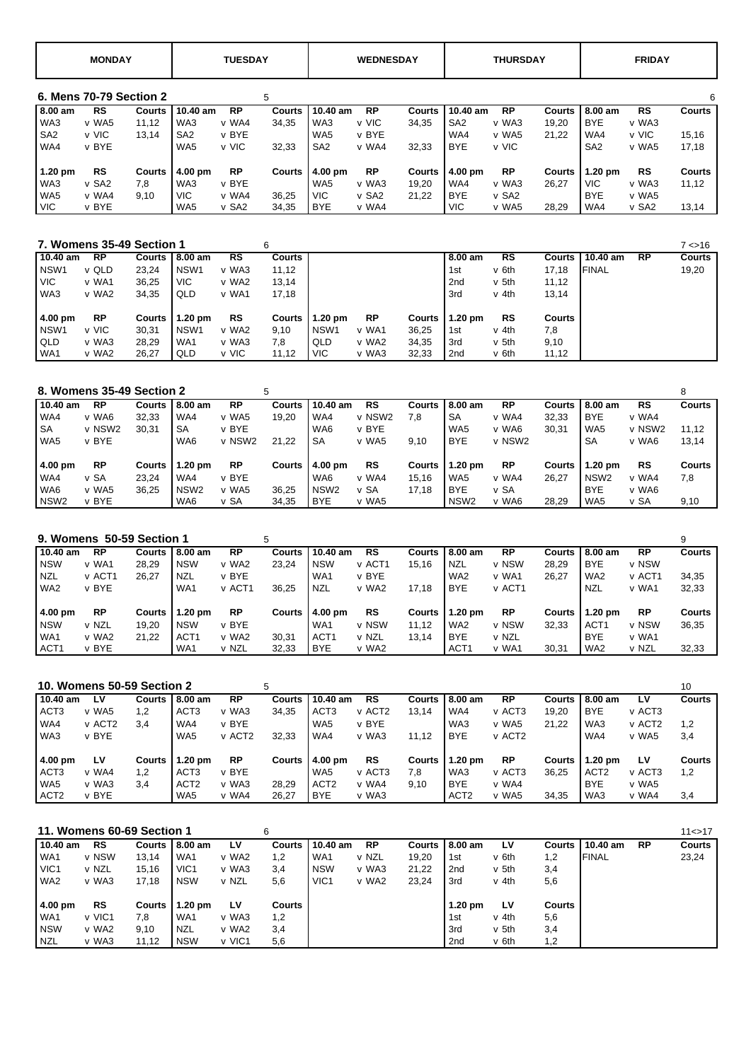|                 | <b>MONDAY</b>           |        |                 | <b>TUESDAY</b> |               |                 | <b>WEDNESDAY</b> |               |                 | <b>THURSDAY</b>   |               |                   | <b>FRIDAY</b>     |               |
|-----------------|-------------------------|--------|-----------------|----------------|---------------|-----------------|------------------|---------------|-----------------|-------------------|---------------|-------------------|-------------------|---------------|
|                 | 6. Mens 70-79 Section 2 |        |                 |                | 5             |                 |                  |               |                 |                   |               |                   |                   | 6             |
| 8.00 am         | <b>RS</b>               | Courts | $10.40$ am      | <b>RP</b>      | <b>Courts</b> | 10.40 am        | <b>RP</b>        | <b>Courts</b> | $10.40$ am      | <b>RP</b>         | <b>Courts</b> | 8.00 am           | <b>RS</b>         | <b>Courts</b> |
| WA3             | v WA5                   | 11,12  | WA3             | v WA4          | 34,35         | WA3             | v VIC            | 34,35         | SA <sub>2</sub> | v WA3             | 19,20         | <b>BYE</b>        | v WA3             |               |
| SA <sub>2</sub> | v VIC                   | 13.14  | SA <sub>2</sub> | v BYE          |               | WA5             | v BYE            |               | WA4             | v WA5             | 21.22         | WA4               | v VIC             | 15,16         |
| WA4             | v BYE                   |        | WA5             | v VIC          | 32,33         | SA <sub>2</sub> | v WA4            | 32,33         | <b>BYE</b>      | v VIC             |               | SA <sub>2</sub>   | v WA5             | 17,18         |
| $1.20$ pm       | <b>RS</b>               | Courts | 4.00 pm         | <b>RP</b>      | Courts        | 4.00 pm         | <b>RP</b>        | <b>Courts</b> | 4.00 pm         | <b>RP</b>         | <b>Courts</b> | $1.20 \text{ pm}$ | <b>RS</b>         | <b>Courts</b> |
| WA3             | v SA2                   | 7,8    | WA3             | v BYE          |               | WA5             | v WA3            | 19,20         | WA4             | v WA3             | 26.27         | <b>VIC</b>        | v WA3             | 11,12         |
| WA5             | v WA4                   | 9,10   | <b>VIC</b>      | v WA4          | 36,25         | <b>VIC</b>      | v SA2            | 21.22         | <b>BYE</b>      | v SA <sub>2</sub> |               | <b>BYE</b>        | v WA5             |               |
| <b>VIC</b>      | v BYE                   |        | WA5             | v SA2          | 34,35         | <b>BYE</b>      | v WA4            |               | VIC.            | v WA5             | 28,29         | WA4               | v SA <sub>2</sub> | 13,14         |

| 7. Womens 35-49 Section 1 |       |           |        |                   |       | 6      |                   |           |        |                   |       |        |              |           | 7 < 16        |
|---------------------------|-------|-----------|--------|-------------------|-------|--------|-------------------|-----------|--------|-------------------|-------|--------|--------------|-----------|---------------|
| $10.40$ am                |       | <b>RP</b> |        | Courts 18.00 am   | RS    | Courts |                   |           |        | 8.00 am           | RS    | Courts | 10.40 am     | <b>RP</b> | <b>Courts</b> |
| NSW1                      |       | v QLD     | 23,24  | NSW <sub>1</sub>  | v WA3 | 11,12  |                   |           |        | 1st               | v 6th | 17,18  | <b>FINAL</b> |           | 19,20         |
| <b>VIC</b>                |       | v WA1     | 36,25  | <b>VIC</b>        | v WA2 | 13,14  |                   |           |        | 2nd               | v 5th | 11,12  |              |           |               |
| WA3                       |       | v WA2     | 34,35  | QLD               | v WA1 | 17,18  |                   |           |        | 3rd               | v 4th | 13,14  |              |           |               |
| 4.00 pm                   |       | <b>RP</b> | Courts | $1.20 \text{ pm}$ | RS    | Courts | $1.20 \text{ pm}$ | <b>RP</b> | Courts | $1.20 \text{ pm}$ | RS    | Courts |              |           |               |
| NSW1                      | v VIC |           | 30,31  | NSW <sub>1</sub>  | v WA2 | 9,10   | NSW <sub>1</sub>  | v WA1     | 36,25  | 1st               | v 4th | 7,8    |              |           |               |
| <b>QLD</b>                |       | v WA3     | 28.29  | WA1               | v WA3 | 7.8    | QLD               | v WA2     | 34,35  | 3rd               | v 5th | 9,10   |              |           |               |
| WA1                       |       | v WA2     | 26,27  | QLD               | v VIC | 11,12  | <b>VIC</b>        | v WA3     | 32,33  | 2nd               | v 6th | 11,12  |              |           |               |

|                  |           | 8. Womens 35-49 Section 2 |                  |           | 5      |                  |        |        |                   |           |        |            |        |               |
|------------------|-----------|---------------------------|------------------|-----------|--------|------------------|--------|--------|-------------------|-----------|--------|------------|--------|---------------|
| 10.40 am         | <b>RP</b> | Courts                    | 8.00 am          | <b>RP</b> | Courts | 10.40 am         | RS     | Courts | 8.00 am           | <b>RP</b> | Courts | 8.00 am    | RS     | <b>Courts</b> |
| WA4              | v WA6     | 32.33                     | WA4              | v WA5     | 19.20  | WA4              | v NSW2 | 7.8    | <b>SA</b>         | v WA4     | 32,33  | <b>BYE</b> | v WA4  |               |
| SA               | v NSW2    | 30.31                     | <b>SA</b>        | v BYE     |        | WA6              | v BYE  |        | WA <sub>5</sub>   | v WA6     | 30.31  | WA5        | v NSW2 | 11.12         |
| WA5              | v BYE     |                           | WA6              | v NSW2    | 21.22  | <b>SA</b>        | v WA5  | 9,10   | <b>BYE</b>        | v NSW2    |        | <b>SA</b>  | v WA6  | 13,14         |
| 4.00 pm          | <b>RP</b> | Courts                    | $1.20$ pm        | <b>RP</b> | Courts | 4.00 pm          | RS     | Courts | $1.20 \text{ pm}$ | <b>RP</b> | Courts | $1.20$ pm  | RS     | <b>Courts</b> |
| WA4              | v SA      | 23.24                     | WA4              | v BYE     |        | WA6              | v WA4  | 15.16  | WA5               | v WA4     | 26,27  | NSW2       | v WA4  | 7,8           |
| WA6              | v WA5     | 36.25                     | NSW <sub>2</sub> | v WA5     | 36.25  | NSW <sub>2</sub> | v SA   | 17.18  | <b>BYE</b>        | v SA      |        | <b>BYE</b> | v WA6  |               |
| NSW <sub>2</sub> | v BYE     |                           | WA6              | v SA      | 34,35  | <b>BYE</b>       | v WA5  |        | NSW <sub>2</sub>  | v WA6     | 28,29  | WA5        | v SA   | 9,10          |

| 9. Womens 50-59 Section 1 |           |        |                   |           | 5        |                  |           |        |                  |           |        |                   |           | 9             |
|---------------------------|-----------|--------|-------------------|-----------|----------|------------------|-----------|--------|------------------|-----------|--------|-------------------|-----------|---------------|
| 10.40 am                  | <b>RP</b> | Courts | 8.00 am           | <b>RP</b> | Courts l | 10.40 am         | <b>RS</b> | Courts | 8.00 am          | <b>RP</b> |        | Courts 18.00 am   | <b>RP</b> | <b>Courts</b> |
| <b>NSW</b>                | v WA1     | 28,29  | <b>NSW</b>        | v WA2     | 23,24    | <b>NSW</b>       | v ACT1    | 15.16  | <b>NZL</b>       | v NSW     | 28,29  | <b>BYE</b>        | v NSW     |               |
| NZL                       | v ACT1    | 26.27  | NZL               | v BYE     |          | WA1              | v BYE     |        | WA <sub>2</sub>  | v WA1     | 26,27  | WA2               | v ACT1    | 34,35         |
| WA <sub>2</sub>           | v BYE     |        | WA1               | v ACT1    | 36.25    | <b>NZL</b>       | v WA2     | 17.18  | <b>BYE</b>       | v ACT1    |        | NZL               | v WA1     | 32,33         |
| 4.00 pm                   | <b>RP</b> | Courts | $1.20 \text{ pm}$ | <b>RP</b> | Courts I | 4.00 pm          | <b>RS</b> | Courts | $1.20$ pm        | <b>RP</b> | Courts | $1.20 \text{ pm}$ | <b>RP</b> | <b>Courts</b> |
| <b>NSW</b>                | v NZL     | 19.20  | <b>NSW</b>        | v BYE     |          | WA1              | v NSW     | 11.12  | WA <sub>2</sub>  | v NSW     | 32,33  | ACT <sub>1</sub>  | v NSW     | 36,35         |
| WA <sub>1</sub>           | v WA2     | 21.22  | ACT <sub>1</sub>  | v WA2     | 30.31    | ACT <sub>1</sub> | v NZL     | 13.14  | <b>BYE</b>       | v NZL     |        | <b>BYE</b>        | v WA1     |               |
| ACT <sub>1</sub>          | v BYE     |        | WA1               | v NZL     | 32,33    | <b>BYE</b>       | v WA2     |        | ACT <sub>1</sub> | v WA1     | 30.31  | WA <sub>2</sub>   | v NZL     | 32,33         |

| 10. Womens 50-59 Section 2 |                    |        |                  |                    | 5      |                   |                    |        |                   |                    |        |                  |                    | 10            |
|----------------------------|--------------------|--------|------------------|--------------------|--------|-------------------|--------------------|--------|-------------------|--------------------|--------|------------------|--------------------|---------------|
| 10.40 am                   | Lν                 | Courts | 8.00 am          | <b>RP</b>          | Courts | 10.40 am          | <b>RS</b>          |        | Courts 18.00 am   | <b>RP</b>          | Courts | 8.00 am          | LV                 | <b>Courts</b> |
| ACT <sub>3</sub>           | v WA5              | 1.2    | ACT <sub>3</sub> | v WA3              | 34,35  | ACT <sub>3</sub>  | v ACT <sub>2</sub> | 13.14  | WA4               | v ACT3             | 19.20  | <b>BYE</b>       | v ACT3             |               |
| WA4                        | v ACT <sub>2</sub> | 3.4    | WA4              | v BYE              |        | WA <sub>5</sub>   | v BYE              |        | WA3               | v WA5              | 21.22  | WA3              | v ACT <sub>2</sub> | 1,2           |
| WA3                        | v BYE              |        | WA5              | v ACT <sub>2</sub> | 32,33  | WA4               | v WA3              | 11.12  | <b>BYE</b>        | v ACT <sub>2</sub> |        | WA4              | v WA5              | 3,4           |
| 4.00 pm                    | <b>LV</b>          | Courts | $1.20$ pm        | <b>RP</b>          | Courts | $4.00 \text{ pm}$ | <b>RS</b>          | Courts | $1.20 \text{ pm}$ | <b>RP</b>          | Courts | $1.20$ pm        | LV                 | <b>Courts</b> |
| ACT <sub>3</sub>           | v WA4              | 1.2    | ACT <sub>3</sub> | v BYE              |        | WA5               | v ACT3             | 7.8    | WA3               | v ACT3             | 36,25  | ACT <sub>2</sub> | v ACT3             | 1,2           |
| WA5                        | v WA3              | 3.4    | ACT <sub>2</sub> | v WA3              | 28.29  | ACT <sub>2</sub>  | v WA4              | 9,10   | <b>BYE</b>        | v WA4              |        | <b>BYE</b>       | v WA5              |               |
| ACT <sub>2</sub>           | v BYE              |        | WA5              | v WA4              | 26.27  | <b>BYE</b>        | v WA3              |        | ACT <sub>2</sub>  | v WA5              | 34,35  | WA3              | v WA4              | 3,4           |

|                  |           | 11. Womens 60-69 Section 1 |                   |           | 6      |                  |           |       |                   |       |               |              |           | 11 < > 17     |
|------------------|-----------|----------------------------|-------------------|-----------|--------|------------------|-----------|-------|-------------------|-------|---------------|--------------|-----------|---------------|
| 10.40 am         | <b>RS</b> | Courts                     | 18.00 am          | LV        | Courts | 10.40 am         | <b>RP</b> |       | Courts 18.00 am   | LV    | Courts        | 10.40 am     | <b>RP</b> | <b>Courts</b> |
| WA1              | v NSW     | 13,14                      | WA1               | v WA2     | 1,2    | WA1              | v NZL     | 19,20 | 1st               | v 6th | 1,2           | <b>FINAL</b> |           | 23,24         |
| VIC <sub>1</sub> | v NZL     | 15.16                      | VIC <sub>1</sub>  | v WA3     | 3,4    | <b>NSW</b>       | v WA3     | 21.22 | 2 <sub>nd</sub>   | v 5th | 3,4           |              |           |               |
| WA2              | v WA3     | 17,18                      | <b>NSW</b>        | v NZL     | 5,6    | VIC <sub>1</sub> | v WA2     | 23,24 | 3rd               | v 4th | 5,6           |              |           |               |
| 4.00 pm          | <b>RS</b> | Courts                     | $1.20 \text{ pm}$ | <b>LV</b> | Courts |                  |           |       | $1.20 \text{ pm}$ | LV    | <b>Courts</b> |              |           |               |
| WA1              | v VIC1    | 7,8                        | WA1               | v WA3     | 1,2    |                  |           |       | 1st               | v 4th | 5,6           |              |           |               |
| <b>NSW</b>       | v WA2     | 9.10                       | <b>NZL</b>        | v WA2     | 3,4    |                  |           |       | 3rd               | v 5th | 3,4           |              |           |               |
| NZL              | v WA3     | 11,12                      | <b>NSW</b>        | v VIC1    | 5,6    |                  |           |       | 2 <sub>nd</sub>   | v 6th | 1,2           |              |           |               |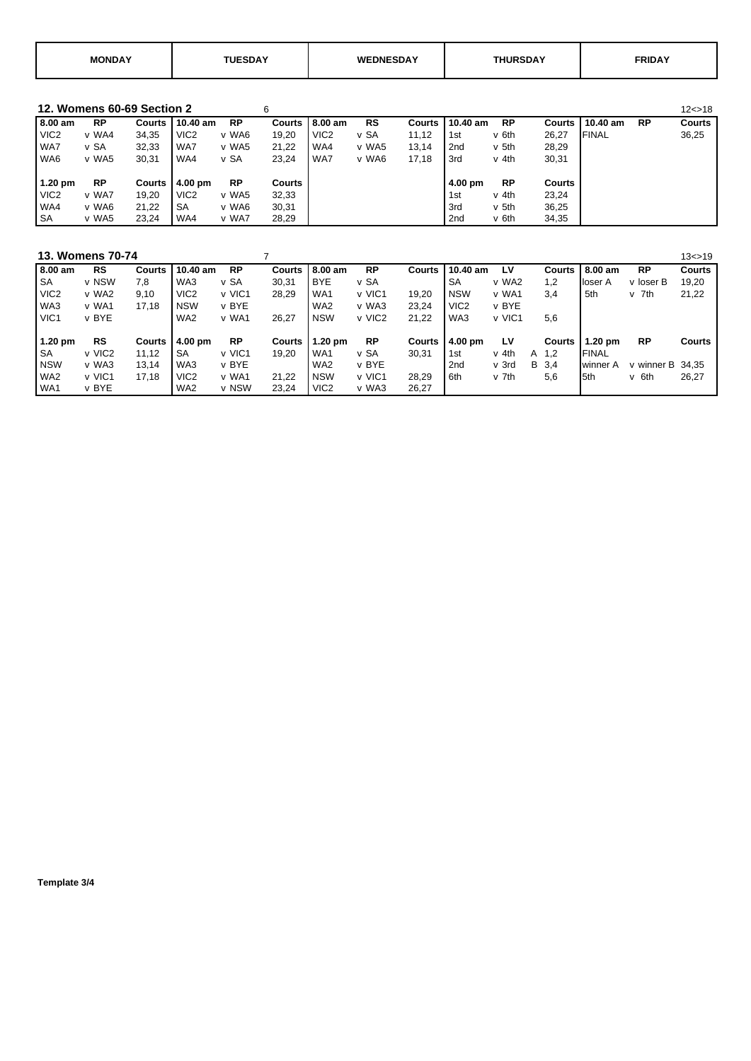| <b>MOND</b> |  | $\bullet$<br>WF<br>וואר<br>мне | $- - - - - -$ |  |
|-------------|--|--------------------------------|---------------|--|
|-------------|--|--------------------------------|---------------|--|

**12. Womens 60-69 Section 2** 6<br> **12<>18**<br> **12<>18 10.40 am** RP **Courts | 10.40 am** RP **Courts | 8.00 am RS Courts | 10.40 am RP Courts | 10.40 am RP Courts 8.00 am RP Courts 10.40 am RP Courts 8.00 am RS Courts 10.40 am RP Courts 10.40 am RP Courts 10.40 am RP Courts**<br>VIC2 v WA4 34,35 VIC2 v WA6 19,20 VIC2 v SA 11,12 1st v 6th 26,27 FINAL 36,25 VIC2 v WA4 34,35 VIC2 v WA6 19,20 VIC2 v SA 11,12 1st v 6th 26,27 FINAL 36,25 WA7 v SA 32,33 WA7 v WA5 21,22 WA4 v WA5 13,14 2nd v 5th 28,29 WA6 v WA5 30,31 | WA4 v SA 23,24 | WA7 v WA6 17,18 | 3rd v 4th 30,31  **1.20 pm RP Courts 4.00 pm RP Courts 4.00 pm RP Courts** VIC2 v WA7 19,20 VIC2 v WA5 32,33 1 1st v 4th 23,24 WA4 v WA6 21,22 SA v WA6 30,31 3 3rd v 5th 36,25 SA v WA5 23,24 WA4 v WA7 28,29 20 2nd v 6th 34,35

|                   | 13. Womens 70-74 |        |                    |           |        |                   |           |               |                   |        |  |        |                   |                    | 13 < > 19     |
|-------------------|------------------|--------|--------------------|-----------|--------|-------------------|-----------|---------------|-------------------|--------|--|--------|-------------------|--------------------|---------------|
| 8.00 am           | <b>RS</b>        | Courts | 10.40 am           | <b>RP</b> | Courts | 8.00 am           | <b>RP</b> | Courts        | 10.40 am          | LV     |  | Courts | 8.00 am           | <b>RP</b>          | <b>Courts</b> |
| <b>SA</b>         | v NSW            | 7.8    | WA3                | v SA      | 30,31  | <b>BYE</b>        | v SA      |               | <b>SA</b>         | v WA2  |  | 1,2    | lloser A          | v loser B          | 19,20         |
| VIC <sub>2</sub>  | v WA2            | 9.10   | VIC <sub>2</sub>   | v VIC1    | 28.29  | WA <sub>1</sub>   | v VIC1    | 19.20         | <b>NSW</b>        | v WA1  |  | 3,4    | 5th               | v 7th              | 21,22         |
| WA3               | v WA1            | 17.18  | <b>NSW</b>         | v BYE     |        | WA <sub>2</sub>   | v WA3     | 23.24         | VIC <sub>2</sub>  | v BYE  |  |        |                   |                    |               |
| VIC <sub>1</sub>  | v BYE            |        | WA <sub>2</sub>    | v WA1     | 26,27  | <b>NSW</b>        | v VIC2    | 21,22         | WA3               | v VIC1 |  | 5,6    |                   |                    |               |
|                   |                  |        |                    |           |        |                   |           |               |                   |        |  |        |                   |                    |               |
| $1.20 \text{ pm}$ | <b>RS</b>        | Courts | $14.00 \text{ pm}$ | <b>RP</b> | Courts | $1.20 \text{ pm}$ | <b>RP</b> | <b>Courts</b> | $4.00 \text{ pm}$ | LV     |  | Courts | $1.20 \text{ pm}$ | <b>RP</b>          | <b>Courts</b> |
| <b>SA</b>         | v VIC2           | 11.12  | SA                 | v VIC1    | 19.20  | WA <sub>1</sub>   | v SA      | 30.31         | 1st               | v 4th  |  | A 1.2  | <b>FINAL</b>      |                    |               |
| <b>NSW</b>        | v WA3            | 13.14  | WA3                | v BYE     |        | WA <sub>2</sub>   | v BYE     |               | 2nd               | v 3rd  |  | B 3.4  | winner A          | v winner $B$ 34.35 |               |
| WA <sub>2</sub>   | v VIC1           | 17.18  | VIC <sub>2</sub>   | v WA1     | 21.22  | <b>NSW</b>        | v VIC1    | 28.29         | 6th               | v 7th  |  | 5,6    | <b>I</b> 5th      | v 6th              | 26,27         |
| WA <sub>1</sub>   | v BYE            |        | WA2                | v NSW     | 23.24  | VIC <sub>2</sub>  | v WA3     | 26,27         |                   |        |  |        |                   |                    |               |

**Template 3/4**